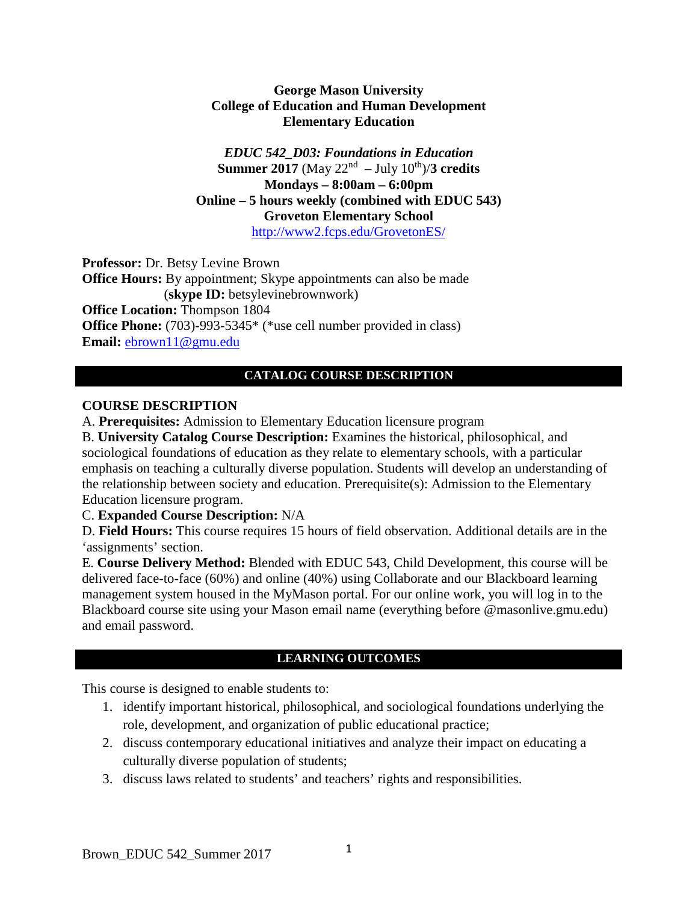#### **George Mason University College of Education and Human Development Elementary Education**

*EDUC 542\_D03: Foundations in Education* **Summer 2017** (May  $22^{nd}$  – July  $10^{th}$ )/**3 credits Mondays – 8:00am – 6:00pm Online – 5 hours weekly (combined with EDUC 543) Groveton Elementary School**  <http://www2.fcps.edu/GrovetonES/>

**Professor:** Dr. Betsy Levine Brown **Office Hours:** By appointment; Skype appointments can also be made (**skype ID:** betsylevinebrownwork) **Office Location:** Thompson 1804 **Office Phone:** (703)-993-5345\* (\*use cell number provided in class) **Email:** [ebrown11@gmu.edu](mailto:ebrown11@gmu.edu)

## **CATALOG COURSE DESCRIPTION**

## **COURSE DESCRIPTION**

A. **Prerequisites:** Admission to Elementary Education licensure program

B. **University Catalog Course Description:** Examines the historical, philosophical, and sociological foundations of education as they relate to elementary schools, with a particular emphasis on teaching a culturally diverse population. Students will develop an understanding of the relationship between society and education. Prerequisite(s): Admission to the Elementary Education licensure program.

C. **Expanded Course Description:** N/A

D. **Field Hours:** This course requires 15 hours of field observation. Additional details are in the 'assignments' section.

E. **Course Delivery Method:** Blended with EDUC 543, Child Development, this course will be delivered face-to-face (60%) and online (40%) using Collaborate and our Blackboard learning management system housed in the MyMason portal. For our online work, you will log in to the Blackboard course site using your Mason email name (everything before @masonlive.gmu.edu) and email password.

## **LEARNING OUTCOMES**

This course is designed to enable students to:

- 1. identify important historical, philosophical, and sociological foundations underlying the role, development, and organization of public educational practice;
- 2. discuss contemporary educational initiatives and analyze their impact on educating a culturally diverse population of students;
- 3. discuss laws related to students' and teachers' rights and responsibilities.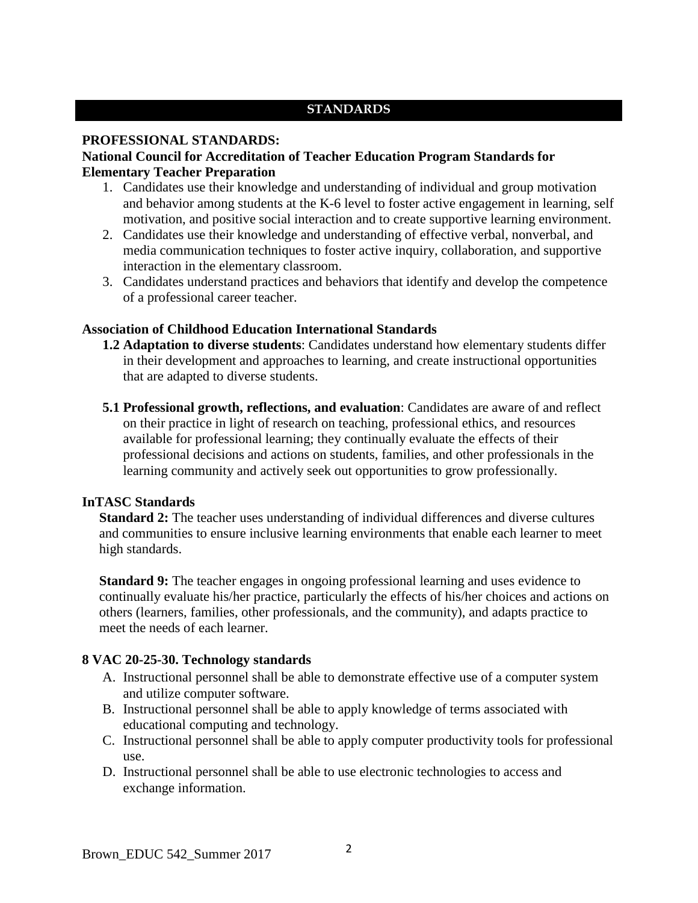## **STANDARDS**

## **PROFESSIONAL STANDARDS:**

## **National Council for Accreditation of Teacher Education Program Standards for Elementary Teacher Preparation**

- 1. Candidates use their knowledge and understanding of individual and group motivation and behavior among students at the K-6 level to foster active engagement in learning, self motivation, and positive social interaction and to create supportive learning environment.
- 2. Candidates use their knowledge and understanding of effective verbal, nonverbal, and media communication techniques to foster active inquiry, collaboration, and supportive interaction in the elementary classroom.
- 3. Candidates understand practices and behaviors that identify and develop the competence of a professional career teacher.

## **Association of Childhood Education International Standards**

- **1.2 Adaptation to diverse students**: Candidates understand how elementary students differ in their development and approaches to learning, and create instructional opportunities that are adapted to diverse students.
- **5.1 Professional growth, reflections, and evaluation**: Candidates are aware of and reflect on their practice in light of research on teaching, professional ethics, and resources available for professional learning; they continually evaluate the effects of their professional decisions and actions on students, families, and other professionals in the learning community and actively seek out opportunities to grow professionally.

## **InTASC Standards**

**Standard 2:** The teacher uses understanding of individual differences and diverse cultures and communities to ensure inclusive learning environments that enable each learner to meet high standards.

**Standard 9:** The teacher engages in ongoing professional learning and uses evidence to continually evaluate his/her practice, particularly the effects of his/her choices and actions on others (learners, families, other professionals, and the community), and adapts practice to meet the needs of each learner.

## **8 VAC 20-25-30. Technology standards**

- A. Instructional personnel shall be able to demonstrate effective use of a computer system and utilize computer software.
- B. Instructional personnel shall be able to apply knowledge of terms associated with educational computing and technology.
- C. Instructional personnel shall be able to apply computer productivity tools for professional use.
- D. Instructional personnel shall be able to use electronic technologies to access and exchange information.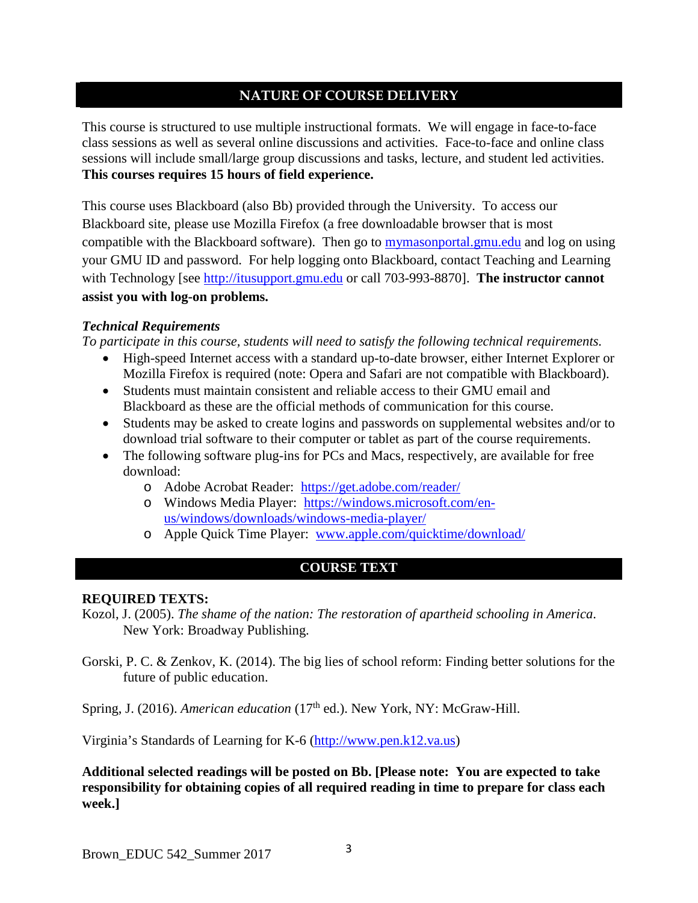## **NATURE OF COURSE DELIVERY**

This course is structured to use multiple instructional formats. We will engage in face-to-face class sessions as well as several online discussions and activities. Face-to-face and online class sessions will include small/large group discussions and tasks, lecture, and student led activities. **This courses requires 15 hours of field experience.** 

This course uses Blackboard (also Bb) provided through the University. To access our Blackboard site, please use Mozilla Firefox (a free downloadable browser that is most compatible with the Blackboard software). Then go to mymasonportal.gmu.edu and log on using your GMU ID and password. For help logging onto Blackboard, contact Teaching and Learning with Technology [see [http://itusupport.gmu.edu](http://itusupport.gmu.edu/) or call 703-993-8870]. **The instructor cannot assist you with log-on problems.**

#### *Technical Requirements*

*To participate in this course, students will need to satisfy the following technical requirements.* 

- High-speed Internet access with a standard up-to-date browser, either Internet Explorer or Mozilla Firefox is required (note: Opera and Safari are not compatible with Blackboard).
- Students must maintain consistent and reliable access to their GMU email and Blackboard as these are the official methods of communication for this course.
- Students may be asked to create logins and passwords on supplemental websites and/or to download trial software to their computer or tablet as part of the course requirements.
- The following software plug-ins for PCs and Macs, respectively, are available for free download:
	- o Adobe Acrobat Reader: <https://get.adobe.com/reader/>
	- o Windows Media Player: [https://windows.microsoft.com/en](https://windows.microsoft.com/en-us/windows/downloads/windows-media-player/)[us/windows/downloads/windows-media-player/](https://windows.microsoft.com/en-us/windows/downloads/windows-media-player/)
	- o Apple Quick Time Player: [www.apple.com/quicktime/download/](http://www.apple.com/quicktime/download/)

# **COURSE TEXT**

#### **REQUIRED TEXTS:**

- Kozol, J. (2005). *The shame of the nation: The restoration of apartheid schooling in America*. New York: Broadway Publishing.
- Gorski, P. C. & Zenkov, K. (2014). The big lies of school reform: Finding better solutions for the future of public education.

Spring, J. (2016). *American education* (17<sup>th</sup> ed.). New York, NY: McGraw-Hill.

Virginia's Standards of Learning for K-6 [\(http://www.pen.k12.va.us\)](http://www.pen.k12.va.us/)

**Additional selected readings will be posted on Bb. [Please note: You are expected to take responsibility for obtaining copies of all required reading in time to prepare for class each week.]**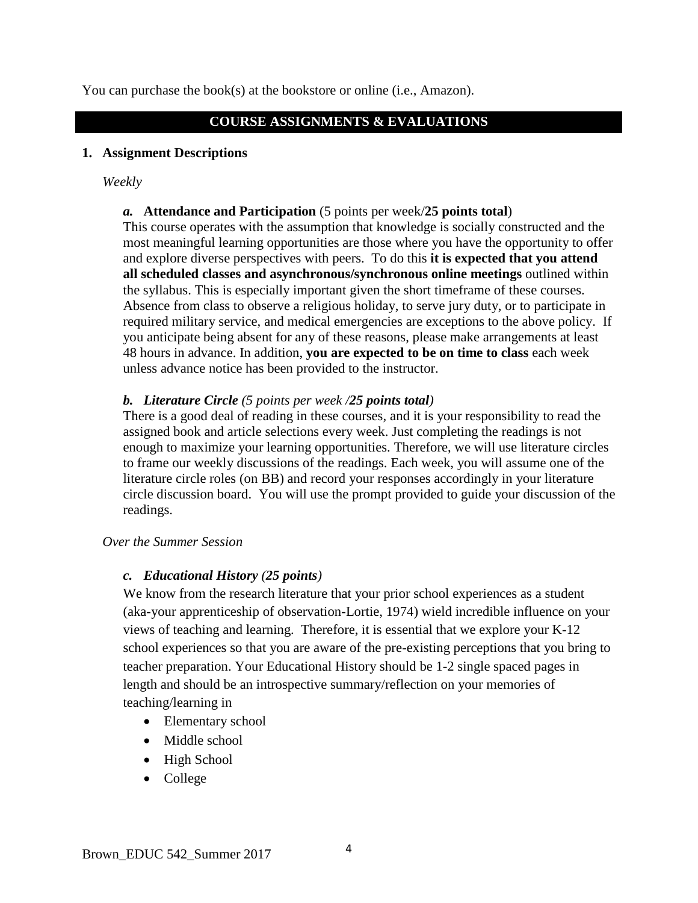You can purchase the book(s) at the bookstore or online (i.e., Amazon).

#### **COURSE ASSIGNMENTS & EVALUATIONS**

#### **1. Assignment Descriptions**

#### *Weekly*

#### *a.* **Attendance and Participation** (5 points per week/**25 points total**)

This course operates with the assumption that knowledge is socially constructed and the most meaningful learning opportunities are those where you have the opportunity to offer and explore diverse perspectives with peers. To do this **it is expected that you attend all scheduled classes and asynchronous/synchronous online meetings** outlined within the syllabus. This is especially important given the short timeframe of these courses. Absence from class to observe a religious holiday, to serve jury duty, or to participate in required military service, and medical emergencies are exceptions to the above policy. If you anticipate being absent for any of these reasons, please make arrangements at least 48 hours in advance. In addition, **you are expected to be on time to class** each week unless advance notice has been provided to the instructor.

#### *b. Literature Circle (5 points per week /25 points total)*

There is a good deal of reading in these courses, and it is your responsibility to read the assigned book and article selections every week. Just completing the readings is not enough to maximize your learning opportunities. Therefore, we will use literature circles to frame our weekly discussions of the readings. Each week, you will assume one of the literature circle roles (on BB) and record your responses accordingly in your literature circle discussion board. You will use the prompt provided to guide your discussion of the readings.

#### *Over the Summer Session*

## *c. Educational History (25 points)*

We know from the research literature that your prior school experiences as a student (aka-your apprenticeship of observation-Lortie, 1974) wield incredible influence on your views of teaching and learning. Therefore, it is essential that we explore your K-12 school experiences so that you are aware of the pre-existing perceptions that you bring to teacher preparation. Your Educational History should be 1-2 single spaced pages in length and should be an introspective summary/reflection on your memories of teaching/learning in

- Elementary school
- Middle school
- High School
- College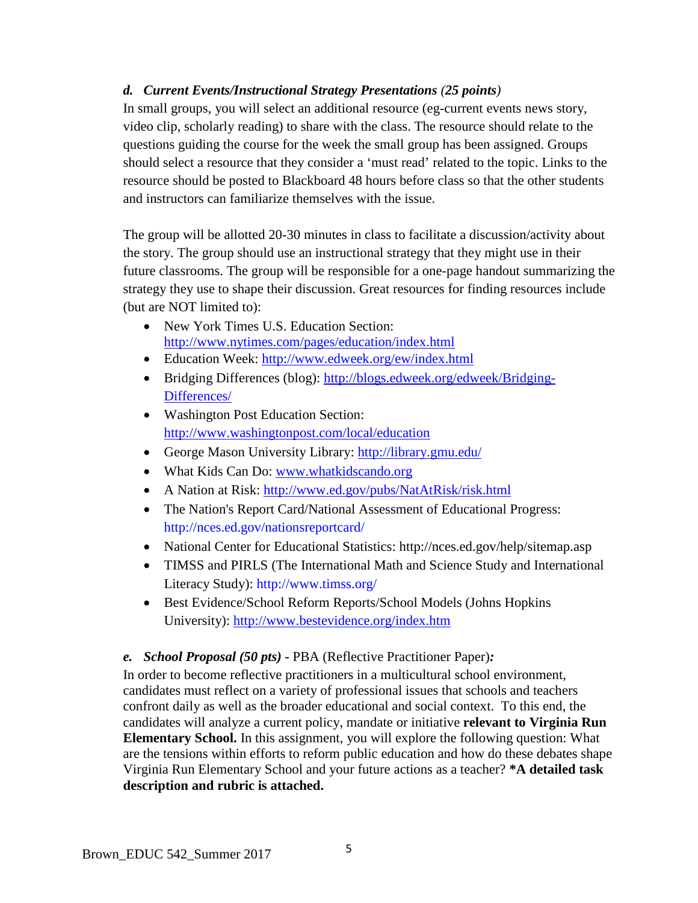## *d. Current Events/Instructional Strategy Presentations (25 points)*

In small groups, you will select an additional resource (eg-current events news story, video clip, scholarly reading) to share with the class. The resource should relate to the questions guiding the course for the week the small group has been assigned. Groups should select a resource that they consider a 'must read' related to the topic. Links to the resource should be posted to Blackboard 48 hours before class so that the other students and instructors can familiarize themselves with the issue.

The group will be allotted 20-30 minutes in class to facilitate a discussion/activity about the story. The group should use an instructional strategy that they might use in their future classrooms. The group will be responsible for a one-page handout summarizing the strategy they use to shape their discussion. Great resources for finding resources include (but are NOT limited to):

- New York Times U.S. Education Section: <http://www.nytimes.com/pages/education/index.html>
- Education Week:<http://www.edweek.org/ew/index.html>
- Bridging Differences (blog): [http://blogs.edweek.org/edweek/Bridging-](http://blogs.edweek.org/edweek/Bridging-Differences/)[Differences/](http://blogs.edweek.org/edweek/Bridging-Differences/)
- Washington Post Education Section: <http://www.washingtonpost.com/local/education>
- George Mason University Library:<http://library.gmu.edu/>
- What Kids Can Do: [www.whatkidscando.org](http://www.whatkidscando.org/)
- A Nation at Risk:<http://www.ed.gov/pubs/NatAtRisk/risk.html>
- The Nation's Report Card/National Assessment of Educational Progress: http://nces.ed.gov/nationsreportcard/
- National Center for Educational Statistics: http://nces.ed.gov/help/sitemap.asp
- TIMSS and PIRLS (The International Math and Science Study and International Literacy Study): http://www.timss.org/
- Best Evidence/School Reform Reports/School Models (Johns Hopkins University):<http://www.bestevidence.org/index.htm>

*e. School Proposal (50 pts)* **-** PBA (Reflective Practitioner Paper)*:*

In order to become reflective practitioners in a multicultural school environment, candidates must reflect on a variety of professional issues that schools and teachers confront daily as well as the broader educational and social context. To this end, the candidates will analyze a current policy, mandate or initiative **relevant to Virginia Run Elementary School.** In this assignment, you will explore the following question: What are the tensions within efforts to reform public education and how do these debates shape Virginia Run Elementary School and your future actions as a teacher? **\*A detailed task description and rubric is attached.**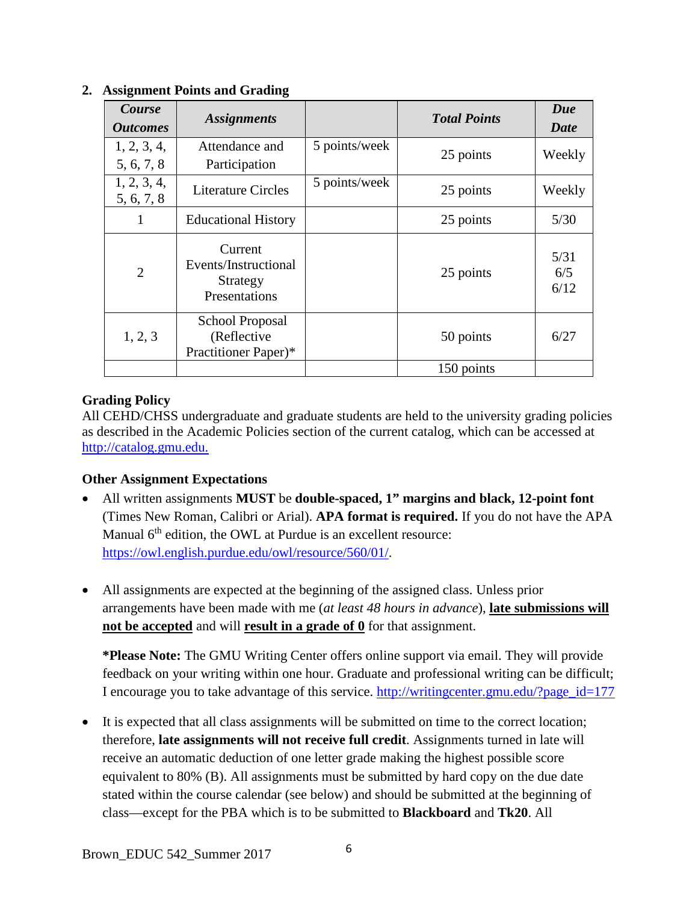| Course<br><i><b>Outcomes</b></i> | <b>Assignments</b>                                           |               | <b>Total Points</b> | Due<br>Date         |
|----------------------------------|--------------------------------------------------------------|---------------|---------------------|---------------------|
| 1, 2, 3, 4,<br>5, 6, 7, 8        | Attendance and<br>Participation                              | 5 points/week | 25 points           | Weekly              |
| 1, 2, 3, 4,<br>5, 6, 7, 8        | <b>Literature Circles</b>                                    | 5 points/week | 25 points           | Weekly              |
|                                  | <b>Educational History</b>                                   |               | 25 points           | 5/30                |
| $\overline{2}$                   | Current<br>Events/Instructional<br>Strategy<br>Presentations |               | 25 points           | 5/31<br>6/5<br>6/12 |
| 1, 2, 3                          | School Proposal<br>(Reflective<br>Practitioner Paper)*       |               | 50 points           | 6/27                |
|                                  |                                                              |               | 150 points          |                     |

## **2. Assignment Points and Grading**

## **Grading Policy**

All CEHD/CHSS undergraduate and graduate students are held to the university grading policies as described in the Academic Policies section of the current catalog, which can be accessed at [http://catalog.gmu.edu.](http://catalog.gmu.edu/)

## **Other Assignment Expectations**

- All written assignments **MUST** be **double-spaced, 1" margins and black, 12-point font**  (Times New Roman, Calibri or Arial). **APA format is required.** If you do not have the APA Manual  $6<sup>th</sup>$  edition, the OWL at Purdue is an excellent resource: [https://owl.english.purdue.edu/owl/resource/560/01/.](https://owl.english.purdue.edu/owl/resource/560/01/)
- All assignments are expected at the beginning of the assigned class. Unless prior arrangements have been made with me (*at least 48 hours in advance*), **late submissions will not be accepted** and will **result in a grade of 0** for that assignment.

**\*Please Note:** The GMU Writing Center offers online support via email. They will provide feedback on your writing within one hour. Graduate and professional writing can be difficult; I encourage you to take advantage of this service. [http://writingcenter.gmu.edu/?page\\_id=177](http://writingcenter.gmu.edu/?page_id=177)

• It is expected that all class assignments will be submitted on time to the correct location; therefore, **late assignments will not receive full credit**. Assignments turned in late will receive an automatic deduction of one letter grade making the highest possible score equivalent to 80% (B). All assignments must be submitted by hard copy on the due date stated within the course calendar (see below) and should be submitted at the beginning of class—except for the PBA which is to be submitted to **Blackboard** and **Tk20**. All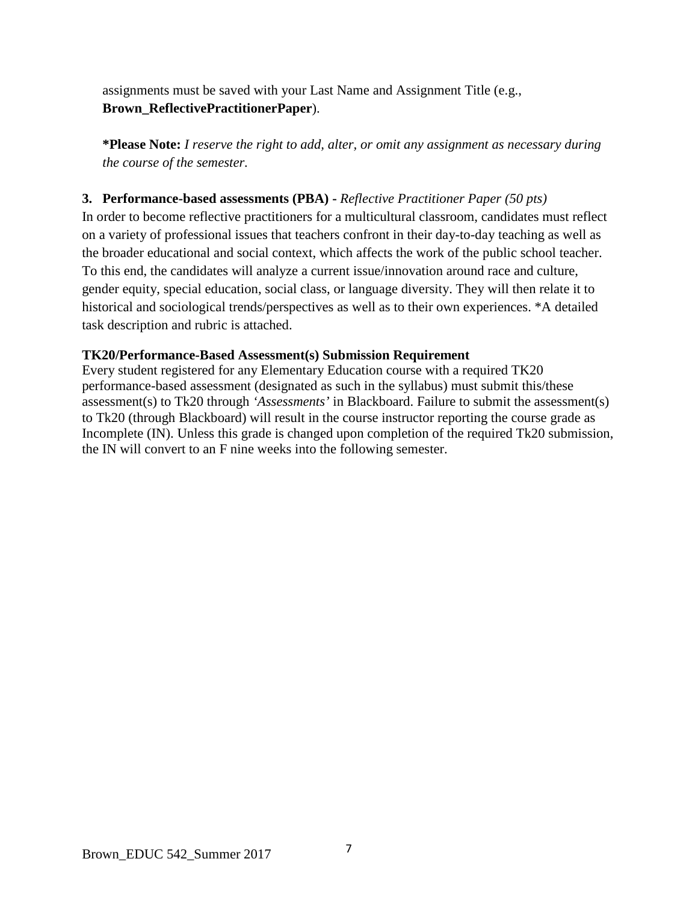assignments must be saved with your Last Name and Assignment Title (e.g., **Brown\_ReflectivePractitionerPaper**).

**\*Please Note:** *I reserve the right to add, alter, or omit any assignment as necessary during the course of the semester.*

## **3. Performance-based assessments (PBA) -** *Reflective Practitioner Paper (50 pts)*

In order to become reflective practitioners for a multicultural classroom, candidates must reflect on a variety of professional issues that teachers confront in their day-to-day teaching as well as the broader educational and social context, which affects the work of the public school teacher. To this end, the candidates will analyze a current issue/innovation around race and culture, gender equity, special education, social class, or language diversity. They will then relate it to historical and sociological trends/perspectives as well as to their own experiences. \*A detailed task description and rubric is attached.

## **TK20/Performance-Based Assessment(s) Submission Requirement**

Every student registered for any Elementary Education course with a required TK20 performance-based assessment (designated as such in the syllabus) must submit this/these assessment(s) to Tk20 through *'Assessments'* in Blackboard. Failure to submit the assessment(s) to Tk20 (through Blackboard) will result in the course instructor reporting the course grade as Incomplete (IN). Unless this grade is changed upon completion of the required Tk20 submission, the IN will convert to an F nine weeks into the following semester.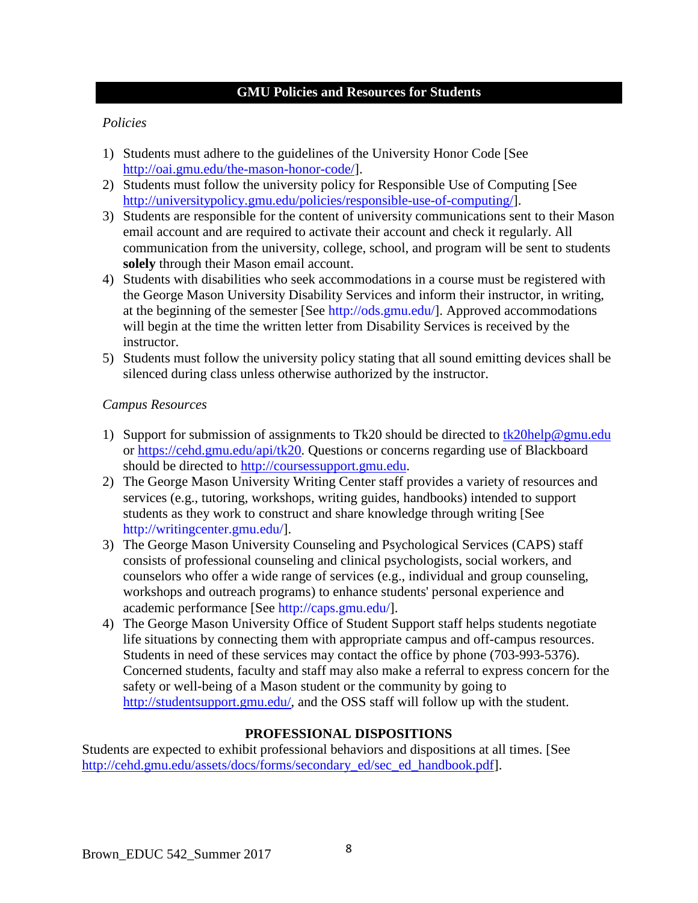#### **GMU Policies and Resources for Students**

### *Policies*

- 1) Students must adhere to the guidelines of the University Honor Code [See [http://oai.gmu.edu/the-mason-honor-code/\]](http://oai.gmu.edu/the-mason-honor-code-2/).
- 2) Students must follow the university policy for Responsible Use of Computing [See [http://universitypolicy.gmu.edu/policies/responsible-use-of-computing/\]](http://universitypolicy.gmu.edu/policies/responsible-use-of-computing/).
- 3) Students are responsible for the content of university communications sent to their Mason email account and are required to activate their account and check it regularly. All communication from the university, college, school, and program will be sent to students **solely** through their Mason email account.
- 4) Students with disabilities who seek accommodations in a course must be registered with the George Mason University Disability Services and inform their instructor, in writing, at the beginning of the semester [See [http://ods.gmu.edu/\]](http://ods.gmu.edu/). Approved accommodations will begin at the time the written letter from Disability Services is received by the instructor.
- 5) Students must follow the university policy stating that all sound emitting devices shall be silenced during class unless otherwise authorized by the instructor.

#### *Campus Resources*

- 1) Support for submission of assignments to Tk20 should be directed to [tk20help@gmu.edu](mailto:tk20help@gmu.edu) or [https://cehd.gmu.edu/api/tk20.](https://cehd.gmu.edu/api/tk20) Questions or concerns regarding use of Blackboard should be directed to [http://coursessupport.gmu.edu.](http://coursessupport.gmu.edu/)
- 2) The George Mason University Writing Center staff provides a variety of resources and services (e.g., tutoring, workshops, writing guides, handbooks) intended to support students as they work to construct and share knowledge through writing [See [http://writingcenter.gmu.edu/\]](http://writingcenter.gmu.edu/).
- 3) The George Mason University Counseling and Psychological Services (CAPS) staff consists of professional counseling and clinical psychologists, social workers, and counselors who offer a wide range of services (e.g., individual and group counseling, workshops and outreach programs) to enhance students' personal experience and academic performance [See [http://caps.gmu.edu/\]](http://caps.gmu.edu/).
- 4) The George Mason University Office of Student Support staff helps students negotiate life situations by connecting them with appropriate campus and off-campus resources. Students in need of these services may contact the office by phone (703-993-5376). Concerned students, faculty and staff may also make a referral to express concern for the safety or well-being of a Mason student or the community by going to [http://studentsupport.gmu.edu/,](http://studentsupport.gmu.edu/) and the OSS staff will follow up with the student.

## **PROFESSIONAL DISPOSITIONS**

Students are expected to exhibit professional behaviors and dispositions at all times. [See [http://cehd.gmu.edu/assets/docs/forms/secondary\\_ed/sec\\_ed\\_handbook.pdf\]](http://cehd.gmu.edu/assets/docs/forms/secondary_ed/sec_ed_handbook.pdf).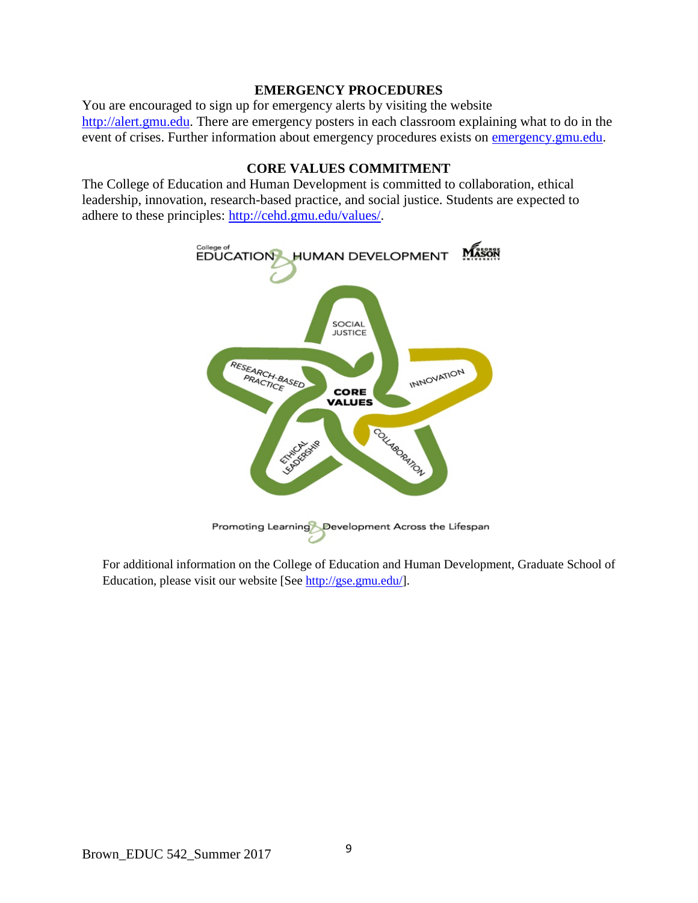#### **EMERGENCY PROCEDURES**

You are encouraged to sign up for emergency alerts by visiting the website [http://alert.gmu.edu.](http://alert.gmu.edu/) There are emergency posters in each classroom explaining what to do in the event of crises. Further information about emergency procedures exists on [emergency.gmu.edu.](http://emergency.gmu.edu/)

#### **CORE VALUES COMMITMENT**

The College of Education and Human Development is committed to collaboration, ethical leadership, innovation, research-based practice, and social justice. Students are expected to adhere to these principles: [http://cehd.gmu.edu/values/.](http://cehd.gmu.edu/values/)



For additional information on the College of Education and Human Development, Graduate School of Education, please visit our website [See [http://gse.gmu.edu/\]](http://gse.gmu.edu/).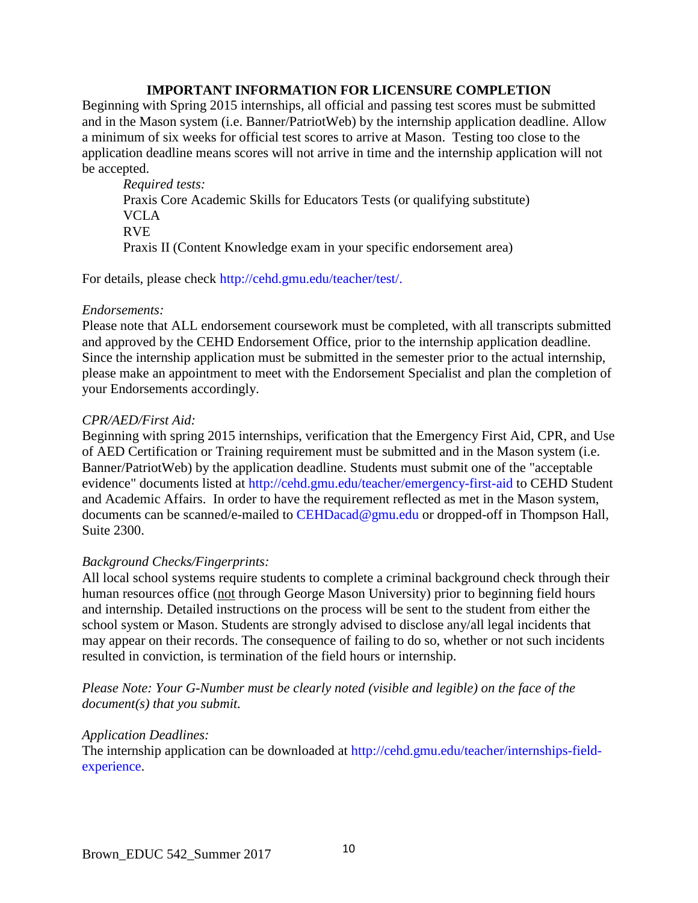#### **IMPORTANT INFORMATION FOR LICENSURE COMPLETION**

Beginning with Spring 2015 internships, all official and passing test scores must be submitted and in the Mason system (i.e. Banner/PatriotWeb) by the internship application deadline. Allow a minimum of six weeks for official test scores to arrive at Mason. Testing too close to the application deadline means scores will not arrive in time and the internship application will not be accepted.

*Required tests:* Praxis Core Academic Skills for Educators Tests (or qualifying substitute) VCLA RVE Praxis II (Content Knowledge exam in your specific endorsement area)

For details, please check [http://cehd.gmu.edu/teacher/test/.](http://cehd.gmu.edu/teacher/test/)

#### *Endorsements:*

Please note that ALL endorsement coursework must be completed, with all transcripts submitted and approved by the CEHD Endorsement Office, prior to the internship application deadline. Since the internship application must be submitted in the semester prior to the actual internship, please make an appointment to meet with the Endorsement Specialist and plan the completion of your Endorsements accordingly.

#### *CPR/AED/First Aid:*

Beginning with spring 2015 internships, verification that the Emergency First Aid, CPR, and Use of AED Certification or Training requirement must be submitted and in the Mason system (i.e. Banner/PatriotWeb) by the application deadline. Students must submit one of the "acceptable evidence" documents listed at<http://cehd.gmu.edu/teacher/emergency-first-aid> to CEHD Student and Academic Affairs. In order to have the requirement reflected as met in the Mason system, documents can be scanned/e-mailed to [CEHDacad@gmu.edu](mailto:cehdacad@gmu.edu) or dropped-off in Thompson Hall, Suite 2300.

#### *Background Checks/Fingerprints:*

All local school systems require students to complete a criminal background check through their human resources office (not through George Mason University) prior to beginning field hours and internship. Detailed instructions on the process will be sent to the student from either the school system or Mason. Students are strongly advised to disclose any/all legal incidents that may appear on their records. The consequence of failing to do so, whether or not such incidents resulted in conviction, is termination of the field hours or internship.

*Please Note: Your G-Number must be clearly noted (visible and legible) on the face of the document(s) that you submit.*

#### *Application Deadlines:*

The internship application can be downloaded at [http://cehd.gmu.edu/teacher/internships-field](http://cehd.gmu.edu/teacher/internships-field-experience)[experience.](http://cehd.gmu.edu/teacher/internships-field-experience)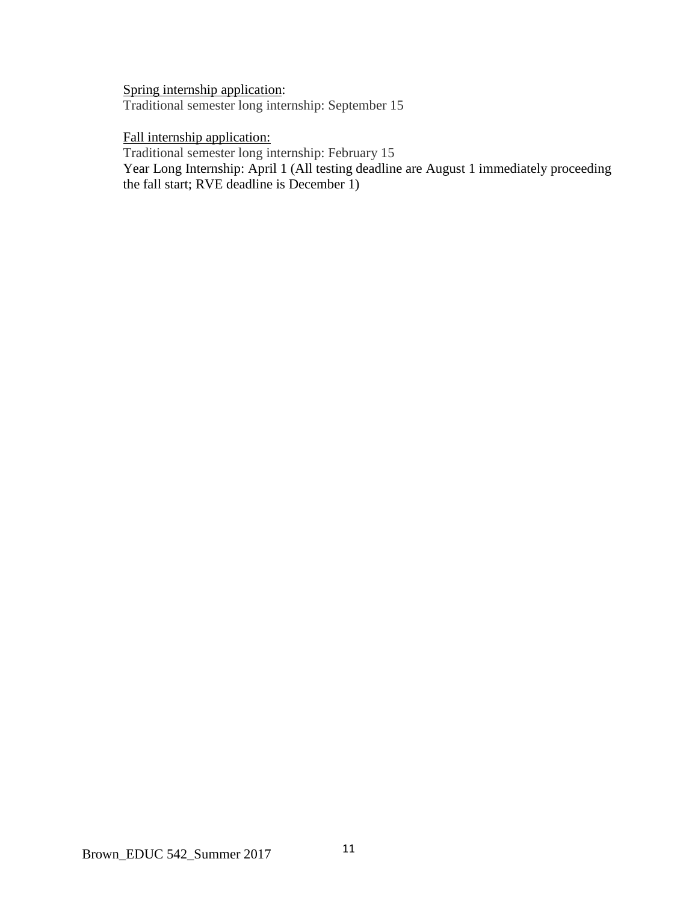Spring internship application: Traditional semester long internship: September 15

## Fall internship application:

Traditional semester long internship: February 15

Year Long Internship: April 1 (All testing deadline are August 1 immediately proceeding the fall start; RVE deadline is December 1)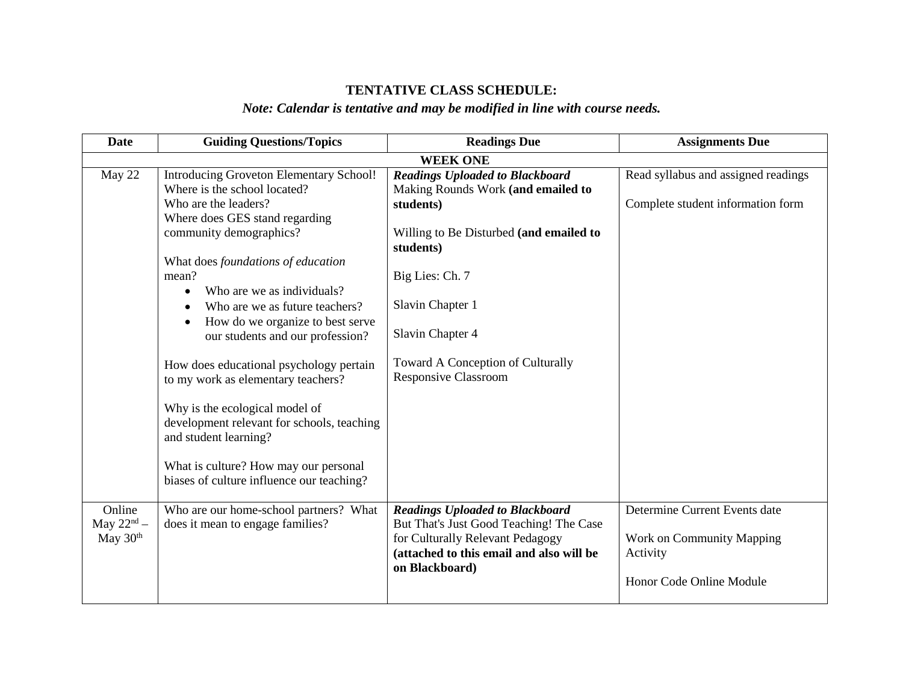# **TENTATIVE CLASS SCHEDULE:**

# *Note: Calendar is tentative and may be modified in line with course needs.*

| <b>Date</b>                          | <b>Guiding Questions/Topics</b>                                         | <b>Readings Due</b>                                                         | <b>Assignments Due</b>              |
|--------------------------------------|-------------------------------------------------------------------------|-----------------------------------------------------------------------------|-------------------------------------|
|                                      |                                                                         | <b>WEEK ONE</b>                                                             |                                     |
| May 22                               | Introducing Groveton Elementary School!<br>Where is the school located? | <b>Readings Uploaded to Blackboard</b>                                      | Read syllabus and assigned readings |
|                                      | Who are the leaders?                                                    | Making Rounds Work (and emailed to<br>students)                             | Complete student information form   |
|                                      | Where does GES stand regarding                                          |                                                                             |                                     |
|                                      | community demographics?                                                 | Willing to Be Disturbed (and emailed to<br>students)                        |                                     |
|                                      | What does foundations of education<br>mean?                             | Big Lies: Ch. 7                                                             |                                     |
|                                      | Who are we as individuals?                                              |                                                                             |                                     |
|                                      | Who are we as future teachers?                                          | Slavin Chapter 1                                                            |                                     |
|                                      | How do we organize to best serve<br>$\bullet$                           |                                                                             |                                     |
|                                      | our students and our profession?                                        | Slavin Chapter 4                                                            |                                     |
|                                      | How does educational psychology pertain                                 | Toward A Conception of Culturally                                           |                                     |
|                                      | to my work as elementary teachers?                                      | Responsive Classroom                                                        |                                     |
|                                      | Why is the ecological model of                                          |                                                                             |                                     |
|                                      | development relevant for schools, teaching                              |                                                                             |                                     |
|                                      | and student learning?                                                   |                                                                             |                                     |
|                                      | What is culture? How may our personal                                   |                                                                             |                                     |
|                                      | biases of culture influence our teaching?                               |                                                                             |                                     |
|                                      |                                                                         |                                                                             |                                     |
| Online                               | Who are our home-school partners? What                                  | <b>Readings Uploaded to Blackboard</b>                                      | Determine Current Events date       |
| May $22^{\text{nd}}$ –<br>May $30th$ | does it mean to engage families?                                        | But That's Just Good Teaching! The Case<br>for Culturally Relevant Pedagogy | Work on Community Mapping           |
|                                      |                                                                         | (attached to this email and also will be                                    | Activity                            |
|                                      |                                                                         | on Blackboard)                                                              |                                     |
|                                      |                                                                         |                                                                             | Honor Code Online Module            |
|                                      |                                                                         |                                                                             |                                     |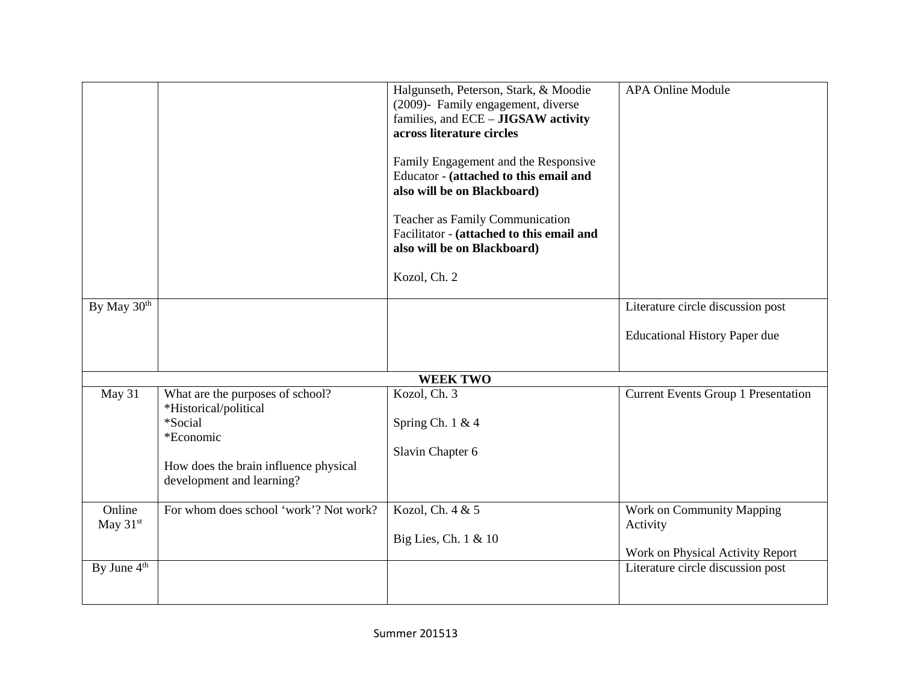| Literature circle discussion post                                                                              |
|----------------------------------------------------------------------------------------------------------------|
| <b>Educational History Paper due</b>                                                                           |
|                                                                                                                |
| <b>Current Events Group 1 Presentation</b>                                                                     |
| Work on Community Mapping<br>Activity<br>Work on Physical Activity Report<br>Literature circle discussion post |
|                                                                                                                |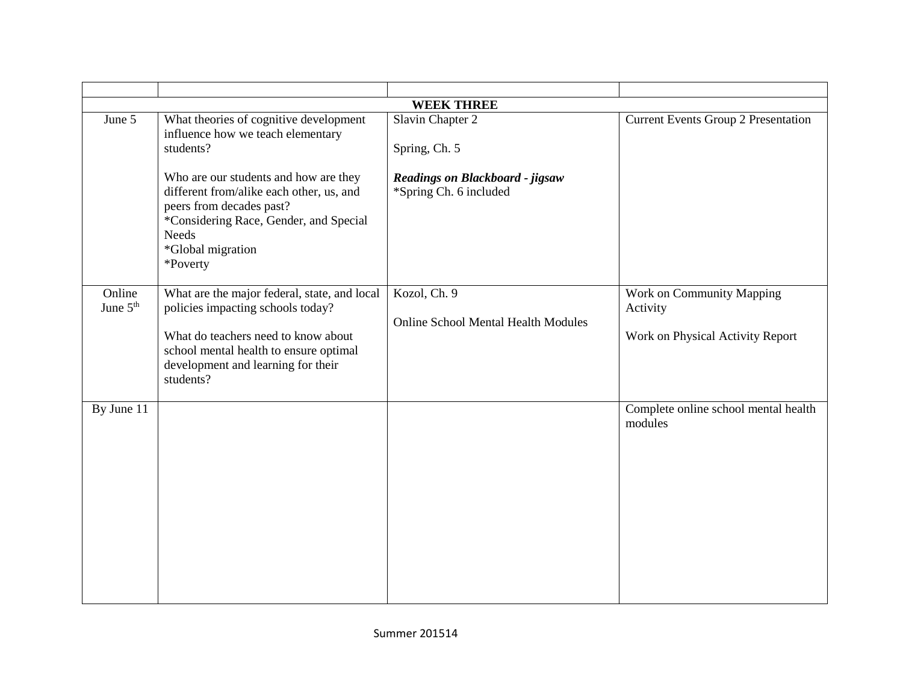|                      |                                                                                                                                                                                                                       | <b>WEEK THREE</b>                                          |                                                                           |
|----------------------|-----------------------------------------------------------------------------------------------------------------------------------------------------------------------------------------------------------------------|------------------------------------------------------------|---------------------------------------------------------------------------|
| June 5               | What theories of cognitive development<br>influence how we teach elementary<br>students?                                                                                                                              | Slavin Chapter 2<br>Spring, Ch. 5                          | <b>Current Events Group 2 Presentation</b>                                |
|                      | Who are our students and how are they<br>different from/alike each other, us, and<br>peers from decades past?<br>*Considering Race, Gender, and Special<br><b>Needs</b><br>*Global migration<br>*Poverty              | Readings on Blackboard - jigsaw<br>*Spring Ch. 6 included  |                                                                           |
| Online<br>June $5th$ | What are the major federal, state, and local<br>policies impacting schools today?<br>What do teachers need to know about<br>school mental health to ensure optimal<br>development and learning for their<br>students? | Kozol, Ch. 9<br><b>Online School Mental Health Modules</b> | Work on Community Mapping<br>Activity<br>Work on Physical Activity Report |
| By June 11           |                                                                                                                                                                                                                       |                                                            | Complete online school mental health<br>modules                           |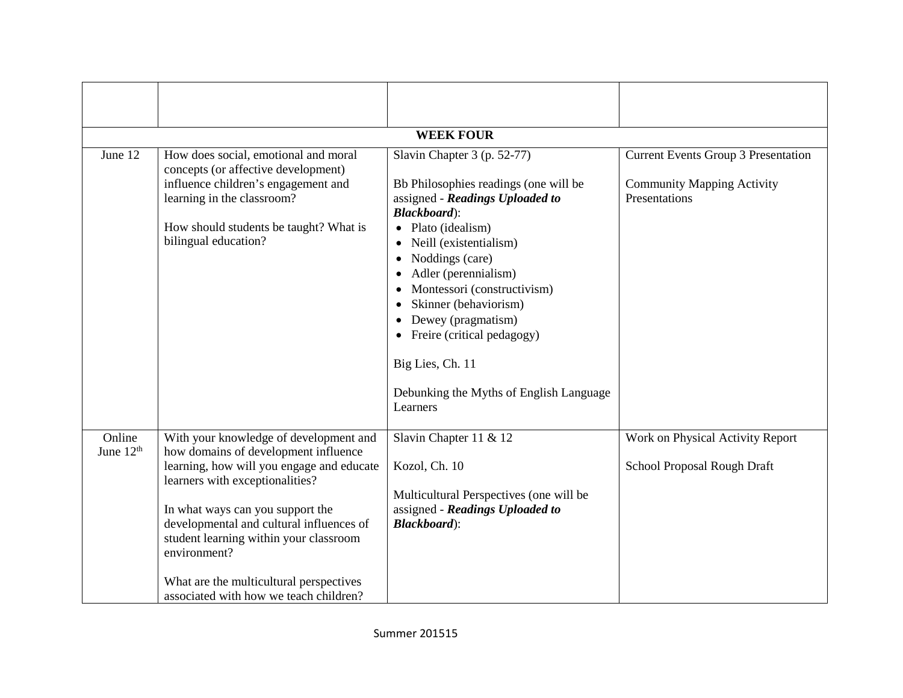|                       |                                                                                                                                        | <b>WEEK FOUR</b>                                                                                                                                                                                                                                                               |                                                    |
|-----------------------|----------------------------------------------------------------------------------------------------------------------------------------|--------------------------------------------------------------------------------------------------------------------------------------------------------------------------------------------------------------------------------------------------------------------------------|----------------------------------------------------|
| June 12               | How does social, emotional and moral<br>concepts (or affective development)                                                            | Slavin Chapter 3 (p. 52-77)                                                                                                                                                                                                                                                    | <b>Current Events Group 3 Presentation</b>         |
|                       | influence children's engagement and<br>learning in the classroom?                                                                      | Bb Philosophies readings (one will be<br>assigned - Readings Uploaded to<br><b>Blackboard</b> ):                                                                                                                                                                               | <b>Community Mapping Activity</b><br>Presentations |
|                       | How should students be taught? What is<br>bilingual education?                                                                         | Plato (idealism)<br>Neill (existentialism)<br>Noddings (care)<br>Adler (perennialism)<br>Montessori (constructivism)<br>Skinner (behaviorism)<br>Dewey (pragmatism)<br>• Freire (critical pedagogy)<br>Big Lies, Ch. 11<br>Debunking the Myths of English Language<br>Learners |                                                    |
| Online                | With your knowledge of development and                                                                                                 | Slavin Chapter 11 & 12                                                                                                                                                                                                                                                         | Work on Physical Activity Report                   |
| June 12 <sup>th</sup> | how domains of development influence<br>learning, how will you engage and educate<br>learners with exceptionalities?                   | Kozol, Ch. 10                                                                                                                                                                                                                                                                  | School Proposal Rough Draft                        |
|                       | In what ways can you support the<br>developmental and cultural influences of<br>student learning within your classroom<br>environment? | Multicultural Perspectives (one will be<br>assigned - Readings Uploaded to<br><b>Blackboard</b> ):                                                                                                                                                                             |                                                    |
|                       | What are the multicultural perspectives<br>associated with how we teach children?                                                      |                                                                                                                                                                                                                                                                                |                                                    |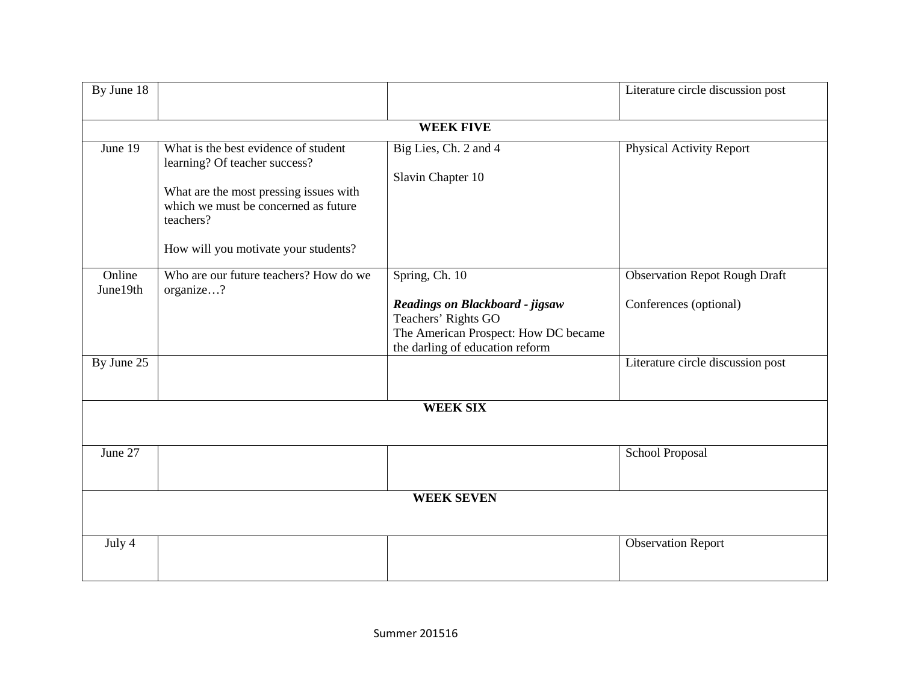| By June 18         |                                                                                |                                      | Literature circle discussion post    |
|--------------------|--------------------------------------------------------------------------------|--------------------------------------|--------------------------------------|
|                    |                                                                                | <b>WEEK FIVE</b>                     |                                      |
| June 19            | What is the best evidence of student                                           | Big Lies, Ch. 2 and 4                | Physical Activity Report             |
|                    | learning? Of teacher success?                                                  |                                      |                                      |
|                    |                                                                                | Slavin Chapter 10                    |                                      |
|                    | What are the most pressing issues with<br>which we must be concerned as future |                                      |                                      |
|                    | teachers?                                                                      |                                      |                                      |
|                    | How will you motivate your students?                                           |                                      |                                      |
| Online<br>June19th | Who are our future teachers? How do we<br>organize?                            | Spring, Ch. 10                       | <b>Observation Repot Rough Draft</b> |
|                    |                                                                                | Readings on Blackboard - jigsaw      | Conferences (optional)               |
|                    |                                                                                | Teachers' Rights GO                  |                                      |
|                    |                                                                                | The American Prospect: How DC became |                                      |
|                    |                                                                                | the darling of education reform      |                                      |
| By June 25         |                                                                                |                                      | Literature circle discussion post    |
|                    |                                                                                | <b>WEEK SIX</b>                      |                                      |
|                    |                                                                                |                                      |                                      |
| June 27            |                                                                                |                                      | School Proposal                      |
|                    |                                                                                |                                      |                                      |
|                    |                                                                                | <b>WEEK SEVEN</b>                    |                                      |
|                    |                                                                                |                                      |                                      |
| July 4             |                                                                                |                                      | <b>Observation Report</b>            |
|                    |                                                                                |                                      |                                      |
|                    |                                                                                |                                      |                                      |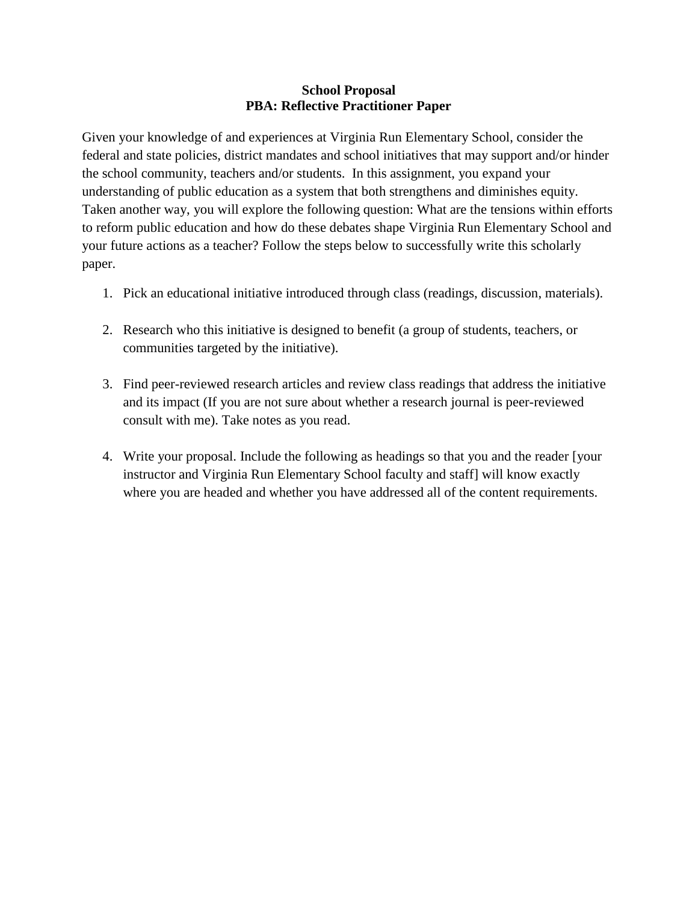#### **School Proposal PBA: Reflective Practitioner Paper**

Given your knowledge of and experiences at Virginia Run Elementary School, consider the federal and state policies, district mandates and school initiatives that may support and/or hinder the school community, teachers and/or students. In this assignment, you expand your understanding of public education as a system that both strengthens and diminishes equity. Taken another way, you will explore the following question: What are the tensions within efforts to reform public education and how do these debates shape Virginia Run Elementary School and your future actions as a teacher? Follow the steps below to successfully write this scholarly paper.

- 1. Pick an educational initiative introduced through class (readings, discussion, materials).
- 2. Research who this initiative is designed to benefit (a group of students, teachers, or communities targeted by the initiative).
- 3. Find peer-reviewed research articles and review class readings that address the initiative and its impact (If you are not sure about whether a research journal is peer-reviewed consult with me). Take notes as you read.
- 4. Write your proposal. Include the following as headings so that you and the reader [your instructor and Virginia Run Elementary School faculty and staff] will know exactly where you are headed and whether you have addressed all of the content requirements.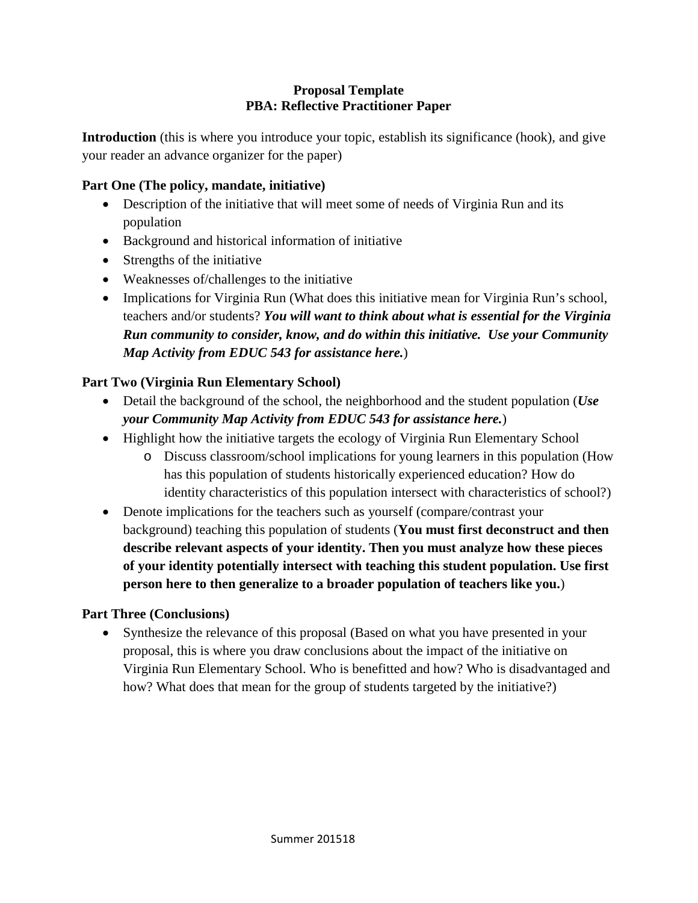## **Proposal Template PBA: Reflective Practitioner Paper**

**Introduction** (this is where you introduce your topic, establish its significance (hook), and give your reader an advance organizer for the paper)

## **Part One (The policy, mandate, initiative)**

- Description of the initiative that will meet some of needs of Virginia Run and its population
- Background and historical information of initiative
- Strengths of the initiative
- Weaknesses of/challenges to the initiative
- Implications for Virginia Run (What does this initiative mean for Virginia Run's school, teachers and/or students? *You will want to think about what is essential for the Virginia Run community to consider, know, and do within this initiative. Use your Community Map Activity from EDUC 543 for assistance here.*)

# **Part Two (Virginia Run Elementary School)**

- Detail the background of the school, the neighborhood and the student population (*Use your Community Map Activity from EDUC 543 for assistance here.*)
- Highlight how the initiative targets the ecology of Virginia Run Elementary School
	- o Discuss classroom/school implications for young learners in this population (How has this population of students historically experienced education? How do identity characteristics of this population intersect with characteristics of school?)
- Denote implications for the teachers such as yourself (compare/contrast your background) teaching this population of students (**You must first deconstruct and then describe relevant aspects of your identity. Then you must analyze how these pieces of your identity potentially intersect with teaching this student population. Use first person here to then generalize to a broader population of teachers like you.**)

# **Part Three (Conclusions)**

• Synthesize the relevance of this proposal (Based on what you have presented in your proposal, this is where you draw conclusions about the impact of the initiative on Virginia Run Elementary School. Who is benefitted and how? Who is disadvantaged and how? What does that mean for the group of students targeted by the initiative?)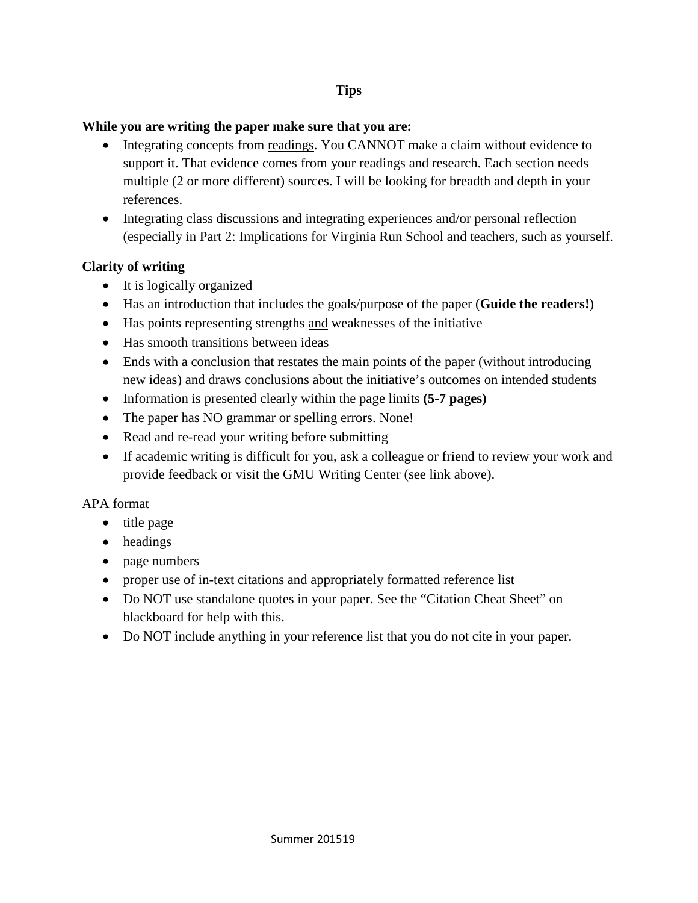## **Tips**

## **While you are writing the paper make sure that you are:**

- Integrating concepts from readings. You CANNOT make a claim without evidence to support it. That evidence comes from your readings and research. Each section needs multiple (2 or more different) sources. I will be looking for breadth and depth in your references.
- Integrating class discussions and integrating experiences and/or personal reflection (especially in Part 2: Implications for Virginia Run School and teachers, such as yourself.

## **Clarity of writing**

- It is logically organized
- Has an introduction that includes the goals/purpose of the paper (**Guide the readers!**)
- Has points representing strengths and weaknesses of the initiative
- Has smooth transitions between ideas
- Ends with a conclusion that restates the main points of the paper (without introducing new ideas) and draws conclusions about the initiative's outcomes on intended students
- Information is presented clearly within the page limits **(5-7 pages)**
- The paper has NO grammar or spelling errors. None!
- Read and re-read your writing before submitting
- If academic writing is difficult for you, ask a colleague or friend to review your work and provide feedback or visit the GMU Writing Center (see link above).

## APA format

- title page
- headings
- page numbers
- proper use of in-text citations and appropriately formatted reference list
- Do NOT use standalone quotes in your paper. See the "Citation Cheat Sheet" on blackboard for help with this.
- Do NOT include anything in your reference list that you do not cite in your paper.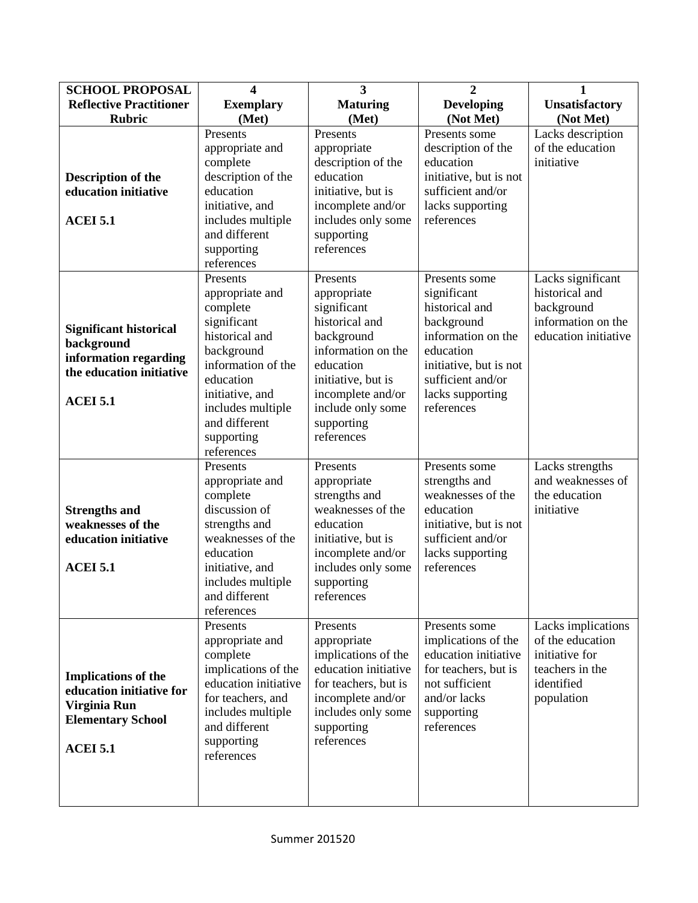| <b>SCHOOL PROPOSAL</b>                                                                                                | $\overline{\mathbf{4}}$                                                                                                                                                                                        | 3                                                                                                                                                                                                     | 2                                                                                                                                                                                | 1                                                                                                       |
|-----------------------------------------------------------------------------------------------------------------------|----------------------------------------------------------------------------------------------------------------------------------------------------------------------------------------------------------------|-------------------------------------------------------------------------------------------------------------------------------------------------------------------------------------------------------|----------------------------------------------------------------------------------------------------------------------------------------------------------------------------------|---------------------------------------------------------------------------------------------------------|
| <b>Reflective Practitioner</b>                                                                                        | <b>Exemplary</b>                                                                                                                                                                                               | <b>Maturing</b>                                                                                                                                                                                       | <b>Developing</b>                                                                                                                                                                | Unsatisfactory                                                                                          |
| <b>Rubric</b>                                                                                                         | (Met)                                                                                                                                                                                                          | (Met)                                                                                                                                                                                                 | (Not Met)                                                                                                                                                                        | (Not Met)                                                                                               |
| <b>Description of the</b><br>education initiative<br><b>ACEI 5.1</b>                                                  | Presents<br>appropriate and<br>complete<br>description of the<br>education<br>initiative, and<br>includes multiple<br>and different<br>supporting<br>references                                                | Presents<br>appropriate<br>description of the<br>education<br>initiative, but is<br>incomplete and/or<br>includes only some<br>supporting<br>references                                               | Presents some<br>description of the<br>education<br>initiative, but is not<br>sufficient and/or<br>lacks supporting<br>references                                                | Lacks description<br>of the education<br>initiative                                                     |
| <b>Significant historical</b><br>background<br>information regarding<br>the education initiative<br><b>ACEI 5.1</b>   | Presents<br>appropriate and<br>complete<br>significant<br>historical and<br>background<br>information of the<br>education<br>initiative, and<br>includes multiple<br>and different<br>supporting<br>references | Presents<br>appropriate<br>significant<br>historical and<br>background<br>information on the<br>education<br>initiative, but is<br>incomplete and/or<br>include only some<br>supporting<br>references | Presents some<br>significant<br>historical and<br>background<br>information on the<br>education<br>initiative, but is not<br>sufficient and/or<br>lacks supporting<br>references | Lacks significant<br>historical and<br>background<br>information on the<br>education initiative         |
| <b>Strengths and</b><br>weaknesses of the<br>education initiative<br><b>ACEI 5.1</b>                                  | Presents<br>appropriate and<br>complete<br>discussion of<br>strengths and<br>weaknesses of the<br>education<br>initiative, and<br>includes multiple<br>and different<br>references                             | Presents<br>appropriate<br>strengths and<br>weaknesses of the<br>education<br>initiative, but is<br>incomplete and/or<br>includes only some<br>supporting<br>references                               | Presents some<br>strengths and<br>weaknesses of the<br>education<br>initiative, but is not<br>sufficient and/or<br>lacks supporting<br>references                                | Lacks strengths<br>and weaknesses of<br>the education<br>initiative                                     |
| <b>Implications of the</b><br>education initiative for<br>Virginia Run<br><b>Elementary School</b><br><b>ACEI 5.1</b> | Presents<br>appropriate and<br>complete<br>implications of the<br>education initiative<br>for teachers, and<br>includes multiple<br>and different<br>supporting<br>references                                  | Presents<br>appropriate<br>implications of the<br>education initiative<br>for teachers, but is<br>incomplete and/or<br>includes only some<br>supporting<br>references                                 | Presents some<br>implications of the<br>education initiative<br>for teachers, but is<br>not sufficient<br>and/or lacks<br>supporting<br>references                               | Lacks implications<br>of the education<br>initiative for<br>teachers in the<br>identified<br>population |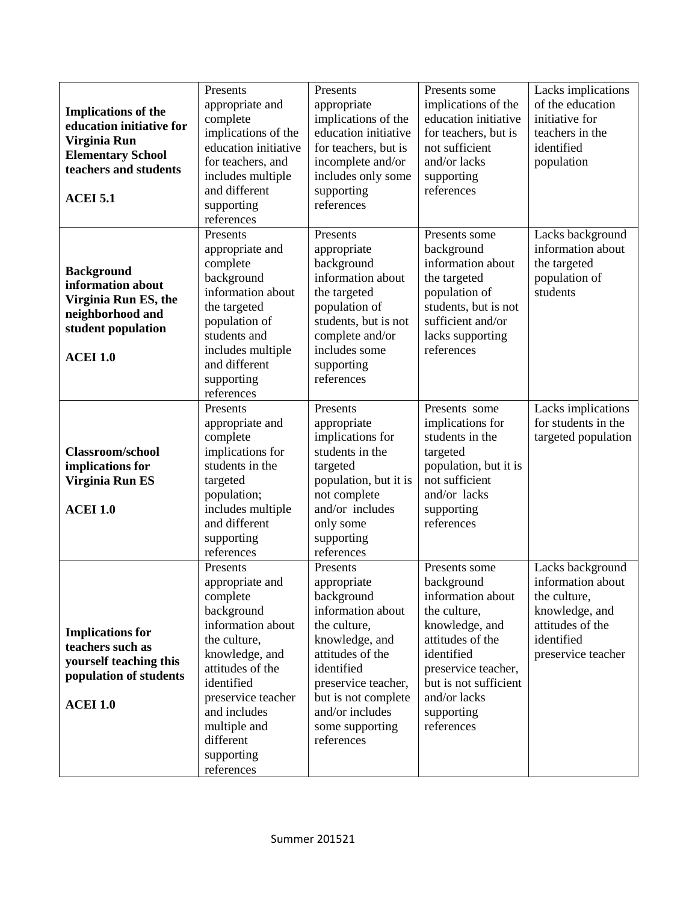| <b>Implications of the</b><br>education initiative for<br>Virginia Run<br><b>Elementary School</b><br>teachers and students<br><b>ACEI 5.1</b> | Presents<br>appropriate and<br>complete<br>implications of the<br>education initiative<br>for teachers, and<br>includes multiple<br>and different<br>supporting<br>references                                                                 | Presents<br>appropriate<br>implications of the<br>education initiative<br>for teachers, but is<br>incomplete and/or<br>includes only some<br>supporting<br>references                                                            | Presents some<br>implications of the<br>education initiative<br>for teachers, but is<br>not sufficient<br>and/or lacks<br>supporting<br>references                                                               | Lacks implications<br>of the education<br>initiative for<br>teachers in the<br>identified<br>population                         |
|------------------------------------------------------------------------------------------------------------------------------------------------|-----------------------------------------------------------------------------------------------------------------------------------------------------------------------------------------------------------------------------------------------|----------------------------------------------------------------------------------------------------------------------------------------------------------------------------------------------------------------------------------|------------------------------------------------------------------------------------------------------------------------------------------------------------------------------------------------------------------|---------------------------------------------------------------------------------------------------------------------------------|
| <b>Background</b><br>information about<br>Virginia Run ES, the<br>neighborhood and<br>student population<br><b>ACEI 1.0</b>                    | Presents<br>appropriate and<br>complete<br>background<br>information about<br>the targeted<br>population of<br>students and<br>includes multiple<br>and different<br>supporting<br>references                                                 | Presents<br>appropriate<br>background<br>information about<br>the targeted<br>population of<br>students, but is not<br>complete and/or<br>includes some<br>supporting<br>references                                              | Presents some<br>background<br>information about<br>the targeted<br>population of<br>students, but is not<br>sufficient and/or<br>lacks supporting<br>references                                                 | Lacks background<br>information about<br>the targeted<br>population of<br>students                                              |
| <b>Classroom/school</b><br>implications for<br>Virginia Run ES<br><b>ACEI 1.0</b>                                                              | Presents<br>appropriate and<br>complete<br>implications for<br>students in the<br>targeted<br>population;<br>includes multiple<br>and different<br>supporting<br>references                                                                   | Presents<br>appropriate<br>implications for<br>students in the<br>targeted<br>population, but it is<br>not complete<br>and/or includes<br>only some<br>supporting<br>references                                                  | Presents some<br>implications for<br>students in the<br>targeted<br>population, but it is<br>not sufficient<br>and/or lacks<br>supporting<br>references                                                          | Lacks implications<br>for students in the<br>targeted population                                                                |
| <b>Implications for</b><br>teachers such as<br>yourself teaching this<br>population of students<br><b>ACEI 1.0</b>                             | Presents<br>appropriate and<br>complete<br>background<br>information about<br>the culture,<br>knowledge, and<br>attitudes of the<br>identified<br>preservice teacher<br>and includes<br>multiple and<br>different<br>supporting<br>references | Presents<br>appropriate<br>background<br>information about<br>the culture,<br>knowledge, and<br>attitudes of the<br>identified<br>preservice teacher,<br>but is not complete<br>and/or includes<br>some supporting<br>references | Presents some<br>background<br>information about<br>the culture,<br>knowledge, and<br>attitudes of the<br>identified<br>preservice teacher,<br>but is not sufficient<br>and/or lacks<br>supporting<br>references | Lacks background<br>information about<br>the culture,<br>knowledge, and<br>attitudes of the<br>identified<br>preservice teacher |